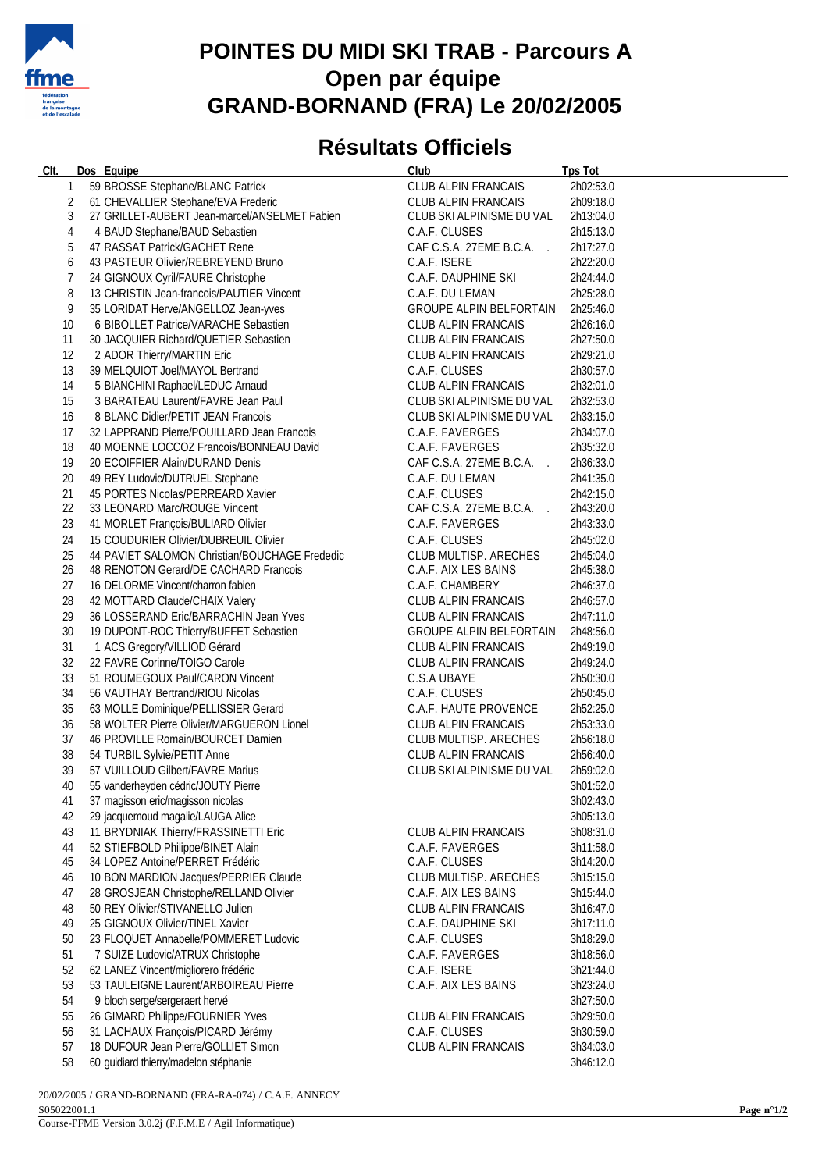

## **POINTES DU MIDI SKI TRAB - Parcours A Open par équipe GRAND-BORNAND (FRA) Le 20/02/2005**

## **Résultats Officiels**

| CIt.           | Dos Equipe                                                               | Club                           | <b>Tps Tot</b>         |
|----------------|--------------------------------------------------------------------------|--------------------------------|------------------------|
| $\mathbf{1}$   | 59 BROSSE Stephane/BLANC Patrick                                         | CLUB ALPIN FRANCAIS            | 2h02:53.0              |
| 2              | 61 CHEVALLIER Stephane/EVA Frederic                                      | CLUB ALPIN FRANCAIS            | 2h09:18.0              |
| 3              | 27 GRILLET-AUBERT Jean-marcel/ANSELMET Fabien                            | CLUB SKI ALPINISME DU VAL      | 2h13:04.0              |
| 4              | 4 BAUD Stephane/BAUD Sebastien                                           | C.A.F. CLUSES                  | 2h15:13.0              |
| 5              | 47 RASSAT Patrick/GACHET Rene                                            | CAF C.S.A. 27EME B.C.A.        | 2h17:27.0              |
| 6              | 43 PASTEUR Olivier/REBREYEND Bruno                                       | C.A.F. ISERE                   | 2h22:20.0              |
| $\overline{7}$ | 24 GIGNOUX Cyril/FAURE Christophe                                        | C.A.F. DAUPHINE SKI            | 2h24:44.0              |
| 8              | 13 CHRISTIN Jean-francois/PAUTIER Vincent                                | C.A.F. DU LEMAN                | 2h25:28.0              |
| 9              |                                                                          |                                | 2h25:46.0              |
|                | 35 LORIDAT Herve/ANGELLOZ Jean-yves                                      | GROUPE ALPIN BELFORTAIN        |                        |
| 10             | 6 BIBOLLET Patrice/VARACHE Sebastien                                     | <b>CLUB ALPIN FRANCAIS</b>     | 2h26:16.0              |
| 11             | 30 JACQUIER Richard/QUETIER Sebastien                                    | CLUB ALPIN FRANCAIS            | 2h27:50.0              |
| 12             | 2 ADOR Thierry/MARTIN Eric                                               | CLUB ALPIN FRANCAIS            | 2h29:21.0              |
| 13             | 39 MELQUIOT Joel/MAYOL Bertrand                                          | C.A.F. CLUSES                  | 2h30:57.0              |
| 14             | 5 BIANCHINI Raphael/LEDUC Arnaud                                         | CLUB ALPIN FRANCAIS            | 2h32:01.0              |
| 15             | 3 BARATEAU Laurent/FAVRE Jean Paul                                       | CLUB SKI ALPINISME DU VAL      | 2h32:53.0              |
| 16             | 8 BLANC Didier/PETIT JEAN Francois                                       | CLUB SKI ALPINISME DU VAL      | 2h33:15.0              |
| 17             | 32 LAPPRAND Pierre/POUILLARD Jean Francois                               | C.A.F. FAVERGES                | 2h34:07.0              |
| 18             | 40 MOENNE LOCCOZ Francois/BONNEAU David                                  | C.A.F. FAVERGES                | 2h35:32.0              |
| 19             | 20 ECOIFFIER Alain/DURAND Denis                                          | CAF C.S.A. 27EME B.C.A.        | 2h36:33.0              |
| 20             | 49 REY Ludovic/DUTRUEL Stephane                                          | C.A.F. DU LEMAN                | 2h41:35.0              |
| 21             | 45 PORTES Nicolas/PERREARD Xavier                                        | C.A.F. CLUSES                  | 2h42:15.0              |
| 22             | 33 LEONARD Marc/ROUGE Vincent                                            | CAF C.S.A. 27EME B.C.A.        | 2h43:20.0              |
| 23             | 41 MORLET François/BULIARD Olivier                                       | C.A.F. FAVERGES                | 2h43:33.0              |
| 24             | 15 COUDURIER Olivier/DUBREUIL Olivier                                    | C.A.F. CLUSES                  | 2h45:02.0              |
| 25             | 44 PAVIET SALOMON Christian/BOUCHAGE Frededic                            | CLUB MULTISP. ARECHES          | 2h45:04.0              |
| 26             | 48 RENOTON Gerard/DE CACHARD Francois                                    | C.A.F. AIX LES BAINS           | 2h45:38.0              |
| 27             | 16 DELORME Vincent/charron fabien                                        | C.A.F. CHAMBERY                | 2h46:37.0              |
| 28             | 42 MOTTARD Claude/CHAIX Valery                                           | CLUB ALPIN FRANCAIS            | 2h46:57.0              |
| 29             | 36 LOSSERAND Eric/BARRACHIN Jean Yves                                    | CLUB ALPIN FRANCAIS            | 2h47:11.0              |
| $30\,$         | 19 DUPONT-ROC Thierry/BUFFET Sebastien                                   | <b>GROUPE ALPIN BELFORTAIN</b> | 2h48:56.0              |
| 31             | 1 ACS Gregory/VILLIOD Gérard                                             | CLUB ALPIN FRANCAIS            | 2h49:19.0              |
| 32             | 22 FAVRE Corinne/TOIGO Carole                                            | CLUB ALPIN FRANCAIS            | 2h49:24.0              |
| 33             | 51 ROUMEGOUX Paul/CARON Vincent                                          | C.S.A UBAYE                    | 2h50:30.0              |
| 34             | 56 VAUTHAY Bertrand/RIOU Nicolas                                         | C.A.F. CLUSES                  | 2h50:45.0              |
| 35             | 63 MOLLE Dominique/PELLISSIER Gerard                                     | C.A.F. HAUTE PROVENCE          | 2h52:25.0              |
| 36             | 58 WOLTER Pierre Olivier/MARGUERON Lionel                                | CLUB ALPIN FRANCAIS            | 2h53:33.0              |
| 37             | 46 PROVILLE Romain/BOURCET Damien                                        | CLUB MULTISP. ARECHES          | 2h56:18.0              |
| 38             | 54 TURBIL Sylvie/PETIT Anne                                              | CLUB ALPIN FRANCAIS            | 2h56:40.0              |
| 39             | 57 VUILLOUD Gilbert/FAVRE Marius                                         | CLUB SKI ALPINISME DU VAL      | 2h59:02.0              |
|                |                                                                          |                                |                        |
| 40<br>41       | 55 vanderheyden cédric/JOUTY Pierre<br>37 magisson eric/magisson nicolas |                                | 3h01:52.0<br>3h02:43.0 |
|                |                                                                          |                                |                        |
| 42             | 29 jacquemoud magalie/LAUGA Alice                                        |                                | 3h05:13.0              |
| 43             | 11 BRYDNIAK Thierry/FRASSINETTI Eric                                     | CLUB ALPIN FRANCAIS            | 3h08:31.0              |
| 44             | 52 STIEFBOLD Philippe/BINET Alain                                        | C.A.F. FAVERGES                | 3h11:58.0              |
| 45             | 34 LOPEZ Antoine/PERRET Frédéric                                         | C.A.F. CLUSES                  | 3h14:20.0              |
| 46             | 10 BON MARDION Jacques/PERRIER Claude                                    | CLUB MULTISP. ARECHES          | 3h15:15.0              |
| 47             | 28 GROSJEAN Christophe/RELLAND Olivier                                   | C.A.F. AIX LES BAINS           | 3h15:44.0              |
| 48             | 50 REY Olivier/STIVANELLO Julien                                         | CLUB ALPIN FRANCAIS            | 3h16:47.0              |
| 49             | 25 GIGNOUX Olivier/TINEL Xavier                                          | C.A.F. DAUPHINE SKI            | 3h17:11.0              |
| 50             | 23 FLOQUET Annabelle/POMMERET Ludovic                                    | C.A.F. CLUSES                  | 3h18:29.0              |
| 51             | 7 SUIZE Ludovic/ATRUX Christophe                                         | C.A.F. FAVERGES                | 3h18:56.0              |
| 52             | 62 LANEZ Vincent/migliorero frédéric                                     | C.A.F. ISERE                   | 3h21:44.0              |
| 53             | 53 TAULEIGNE Laurent/ARBOIREAU Pierre                                    | C.A.F. AIX LES BAINS           | 3h23:24.0              |
| 54             | 9 bloch serge/sergeraert hervé                                           |                                | 3h27:50.0              |
| 55             | 26 GIMARD Philippe/FOURNIER Yves                                         | CLUB ALPIN FRANCAIS            | 3h29:50.0              |
| 56             | 31 LACHAUX François/PICARD Jérémy                                        | C.A.F. CLUSES                  | 3h30:59.0              |
| 57             | 18 DUFOUR Jean Pierre/GOLLIET Simon                                      | CLUB ALPIN FRANCAIS            | 3h34:03.0              |
| 58             | 60 guidiard thierry/madelon stéphanie                                    |                                | 3h46:12.0              |

20/02/2005 / GRAND-BORNAND (FRA-RA-074) / C.A.F. ANNECY S05022001.1